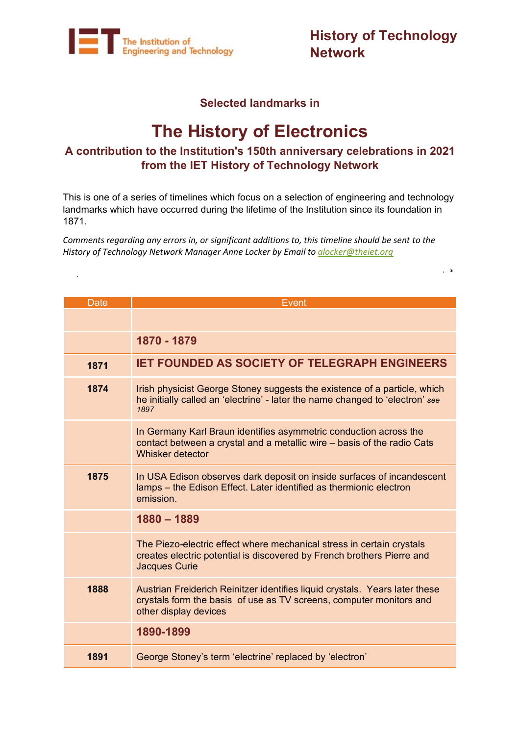

 $\mathbf{r}$ 

**History of Technology Network**

 $\ddot{\phantom{1}}$ 

#### **Selected landmarks in**

# **The History of Electronics**

#### **A contribution to the Institution's 150th anniversary celebrations in 2021 from the IET History of Technology Network**

This is one of a series of timelines which focus on a selection of engineering and technology landmarks which have occurred during the lifetime of the Institution since its foundation in 1871.

*Comments regarding any errors in, or significant additions to, this timeline should be sent to the History of Technology Network Manager Anne Locker by Email to [alocker@theiet.org](mailto:alocker@theiet.org)*

| <b>Date</b> | Event                                                                                                                                                                       |
|-------------|-----------------------------------------------------------------------------------------------------------------------------------------------------------------------------|
|             |                                                                                                                                                                             |
|             | 1870 - 1879                                                                                                                                                                 |
| 1871        | <b>IET FOUNDED AS SOCIETY OF TELEGRAPH ENGINEERS</b>                                                                                                                        |
| 1874        | Irish physicist George Stoney suggests the existence of a particle, which<br>he initially called an 'electrine' - later the name changed to 'electron' see<br>1897          |
|             | In Germany Karl Braun identifies asymmetric conduction across the<br>contact between a crystal and a metallic wire - basis of the radio Cats<br>Whisker detector            |
| 1875        | In USA Edison observes dark deposit on inside surfaces of incandescent<br>lamps - the Edison Effect. Later identified as thermionic electron<br>emission.                   |
|             | 1880 - 1889                                                                                                                                                                 |
|             | The Piezo-electric effect where mechanical stress in certain crystals<br>creates electric potential is discovered by French brothers Pierre and<br><b>Jacques Curie</b>     |
| 1888        | Austrian Freiderich Reinitzer identifies liquid crystals. Years later these<br>crystals form the basis of use as TV screens, computer monitors and<br>other display devices |
|             | 1890-1899                                                                                                                                                                   |
| 1891        | George Stoney's term 'electrine' replaced by 'electron'                                                                                                                     |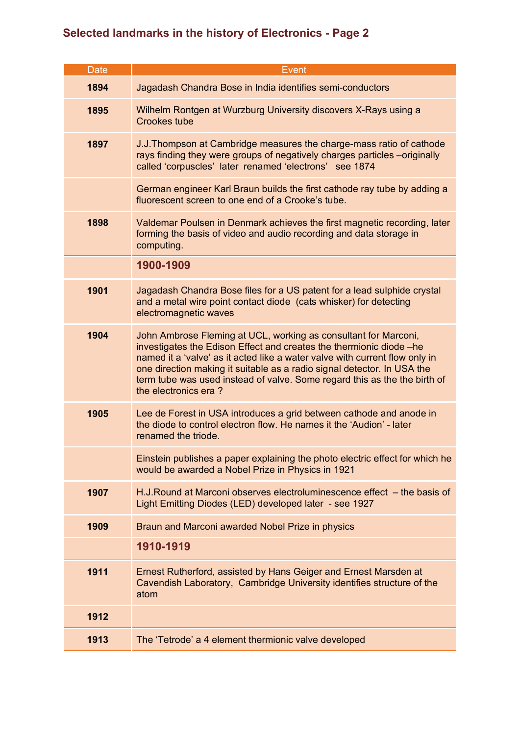| <b>Date</b> | Event                                                                                                                                                                                                                                                                                                                                                                                                 |
|-------------|-------------------------------------------------------------------------------------------------------------------------------------------------------------------------------------------------------------------------------------------------------------------------------------------------------------------------------------------------------------------------------------------------------|
| 1894        | Jagadash Chandra Bose in India identifies semi-conductors                                                                                                                                                                                                                                                                                                                                             |
| 1895        | Wilhelm Rontgen at Wurzburg University discovers X-Rays using a<br>Crookes tube                                                                                                                                                                                                                                                                                                                       |
| 1897        | J.J. Thompson at Cambridge measures the charge-mass ratio of cathode<br>rays finding they were groups of negatively charges particles – originally<br>called 'corpuscles' later renamed 'electrons' see 1874                                                                                                                                                                                          |
|             | German engineer Karl Braun builds the first cathode ray tube by adding a<br>fluorescent screen to one end of a Crooke's tube.                                                                                                                                                                                                                                                                         |
| 1898        | Valdemar Poulsen in Denmark achieves the first magnetic recording, later<br>forming the basis of video and audio recording and data storage in<br>computing.                                                                                                                                                                                                                                          |
|             | 1900-1909                                                                                                                                                                                                                                                                                                                                                                                             |
| 1901        | Jagadash Chandra Bose files for a US patent for a lead sulphide crystal<br>and a metal wire point contact diode (cats whisker) for detecting<br>electromagnetic waves                                                                                                                                                                                                                                 |
| 1904        | John Ambrose Fleming at UCL, working as consultant for Marconi,<br>investigates the Edison Effect and creates the thermionic diode -he<br>named it a 'valve' as it acted like a water valve with current flow only in<br>one direction making it suitable as a radio signal detector. In USA the<br>term tube was used instead of valve. Some regard this as the the birth of<br>the electronics era? |
| 1905        | Lee de Forest in USA introduces a grid between cathode and anode in<br>the diode to control electron flow. He names it the 'Audion' - later<br>renamed the triode.                                                                                                                                                                                                                                    |
|             | Einstein publishes a paper explaining the photo electric effect for which he<br>would be awarded a Nobel Prize in Physics in 1921                                                                                                                                                                                                                                                                     |
| 1907        | H.J. Round at Marconi observes electroluminescence effect – the basis of<br>Light Emitting Diodes (LED) developed later - see 1927                                                                                                                                                                                                                                                                    |
| 1909        | Braun and Marconi awarded Nobel Prize in physics                                                                                                                                                                                                                                                                                                                                                      |
|             | 1910-1919                                                                                                                                                                                                                                                                                                                                                                                             |
| 1911        | Ernest Rutherford, assisted by Hans Geiger and Ernest Marsden at<br>Cavendish Laboratory, Cambridge University identifies structure of the<br>atom                                                                                                                                                                                                                                                    |
| 1912        |                                                                                                                                                                                                                                                                                                                                                                                                       |
| 1913        | The 'Tetrode' a 4 element thermionic valve developed                                                                                                                                                                                                                                                                                                                                                  |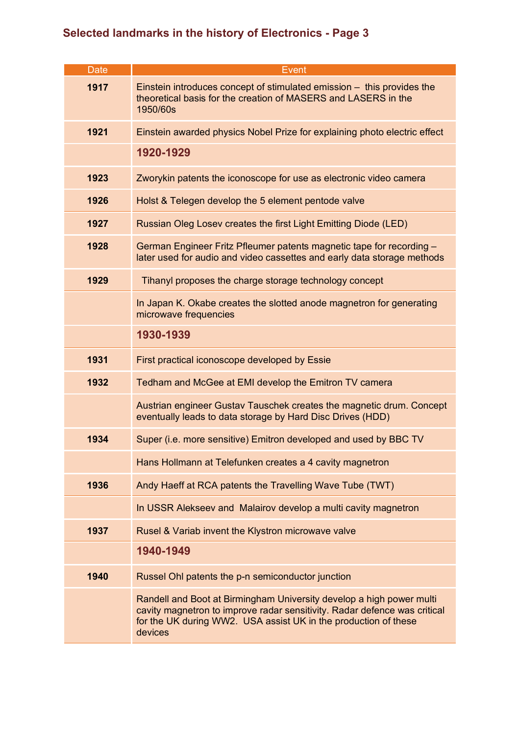| <b>Date</b> | Event                                                                                                                                                                                                                           |
|-------------|---------------------------------------------------------------------------------------------------------------------------------------------------------------------------------------------------------------------------------|
| 1917        | Einstein introduces concept of stimulated emission - this provides the<br>theoretical basis for the creation of MASERS and LASERS in the<br>1950/60s                                                                            |
| 1921        | Einstein awarded physics Nobel Prize for explaining photo electric effect                                                                                                                                                       |
|             | 1920-1929                                                                                                                                                                                                                       |
| 1923        | Zworykin patents the iconoscope for use as electronic video camera                                                                                                                                                              |
| 1926        | Holst & Telegen develop the 5 element pentode valve                                                                                                                                                                             |
| 1927        | Russian Oleg Losev creates the first Light Emitting Diode (LED)                                                                                                                                                                 |
| 1928        | German Engineer Fritz Pfleumer patents magnetic tape for recording -<br>later used for audio and video cassettes and early data storage methods                                                                                 |
| 1929        | Tihanyl proposes the charge storage technology concept                                                                                                                                                                          |
|             | In Japan K. Okabe creates the slotted anode magnetron for generating<br>microwave frequencies                                                                                                                                   |
|             | 1930-1939                                                                                                                                                                                                                       |
| 1931        | First practical iconoscope developed by Essie                                                                                                                                                                                   |
| 1932        | Tedham and McGee at EMI develop the Emitron TV camera                                                                                                                                                                           |
|             | Austrian engineer Gustav Tauschek creates the magnetic drum. Concept<br>eventually leads to data storage by Hard Disc Drives (HDD)                                                                                              |
| 1934        | Super (i.e. more sensitive) Emitron developed and used by BBC TV                                                                                                                                                                |
|             | Hans Hollmann at Telefunken creates a 4 cavity magnetron                                                                                                                                                                        |
| 1936        | Andy Haeff at RCA patents the Travelling Wave Tube (TWT)                                                                                                                                                                        |
|             | In USSR Alekseev and Malairov develop a multi cavity magnetron                                                                                                                                                                  |
| 1937        | Rusel & Variab invent the Klystron microwave valve                                                                                                                                                                              |
|             | 1940-1949                                                                                                                                                                                                                       |
| 1940        | Russel Ohl patents the p-n semiconductor junction                                                                                                                                                                               |
|             | Randell and Boot at Birmingham University develop a high power multi<br>cavity magnetron to improve radar sensitivity. Radar defence was critical<br>for the UK during WW2. USA assist UK in the production of these<br>devices |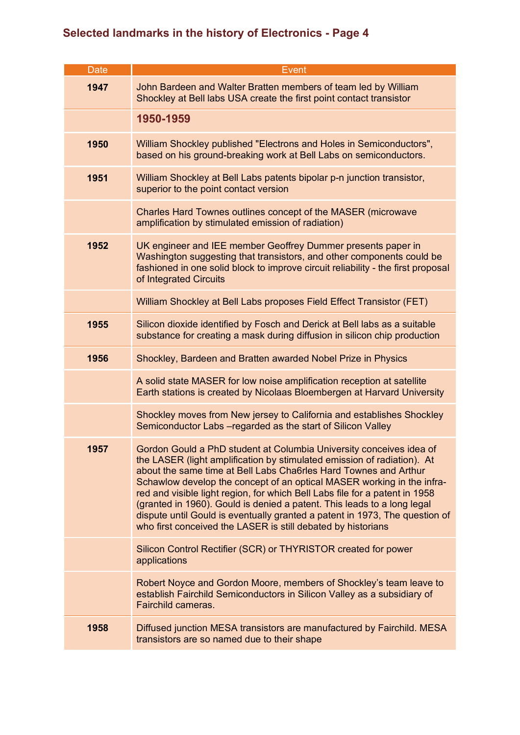| Date | Event                                                                                                                                                                                                                                                                                                                                                                                                                                                                                                                                                                                                 |
|------|-------------------------------------------------------------------------------------------------------------------------------------------------------------------------------------------------------------------------------------------------------------------------------------------------------------------------------------------------------------------------------------------------------------------------------------------------------------------------------------------------------------------------------------------------------------------------------------------------------|
| 1947 | John Bardeen and Walter Bratten members of team led by William<br>Shockley at Bell labs USA create the first point contact transistor                                                                                                                                                                                                                                                                                                                                                                                                                                                                 |
|      | 1950-1959                                                                                                                                                                                                                                                                                                                                                                                                                                                                                                                                                                                             |
| 1950 | William Shockley published "Electrons and Holes in Semiconductors",<br>based on his ground-breaking work at Bell Labs on semiconductors.                                                                                                                                                                                                                                                                                                                                                                                                                                                              |
| 1951 | William Shockley at Bell Labs patents bipolar p-n junction transistor,<br>superior to the point contact version                                                                                                                                                                                                                                                                                                                                                                                                                                                                                       |
|      | Charles Hard Townes outlines concept of the MASER (microwave<br>amplification by stimulated emission of radiation)                                                                                                                                                                                                                                                                                                                                                                                                                                                                                    |
| 1952 | UK engineer and IEE member Geoffrey Dummer presents paper in<br>Washington suggesting that transistors, and other components could be<br>fashioned in one solid block to improve circuit reliability - the first proposal<br>of Integrated Circuits                                                                                                                                                                                                                                                                                                                                                   |
|      | William Shockley at Bell Labs proposes Field Effect Transistor (FET)                                                                                                                                                                                                                                                                                                                                                                                                                                                                                                                                  |
| 1955 | Silicon dioxide identified by Fosch and Derick at Bell labs as a suitable<br>substance for creating a mask during diffusion in silicon chip production                                                                                                                                                                                                                                                                                                                                                                                                                                                |
| 1956 | Shockley, Bardeen and Bratten awarded Nobel Prize in Physics                                                                                                                                                                                                                                                                                                                                                                                                                                                                                                                                          |
|      | A solid state MASER for low noise amplification reception at satellite<br>Earth stations is created by Nicolaas Bloembergen at Harvard University                                                                                                                                                                                                                                                                                                                                                                                                                                                     |
|      | Shockley moves from New jersey to California and establishes Shockley<br>Semiconductor Labs - regarded as the start of Silicon Valley                                                                                                                                                                                                                                                                                                                                                                                                                                                                 |
| 1957 | Gordon Gould a PhD student at Columbia University conceives idea of<br>the LASER (light amplification by stimulated emission of radiation). At<br>about the same time at Bell Labs Cha6rles Hard Townes and Arthur<br>Schawlow develop the concept of an optical MASER working in the infra-<br>red and visible light region, for which Bell Labs file for a patent in 1958<br>(granted in 1960). Gould is denied a patent. This leads to a long legal<br>dispute until Gould is eventually granted a patent in 1973, The question of<br>who first conceived the LASER is still debated by historians |
|      | Silicon Control Rectifier (SCR) or THYRISTOR created for power<br>applications                                                                                                                                                                                                                                                                                                                                                                                                                                                                                                                        |
|      | Robert Noyce and Gordon Moore, members of Shockley's team leave to<br>establish Fairchild Semiconductors in Silicon Valley as a subsidiary of<br>Fairchild cameras.                                                                                                                                                                                                                                                                                                                                                                                                                                   |
| 1958 | Diffused junction MESA transistors are manufactured by Fairchild. MESA<br>transistors are so named due to their shape                                                                                                                                                                                                                                                                                                                                                                                                                                                                                 |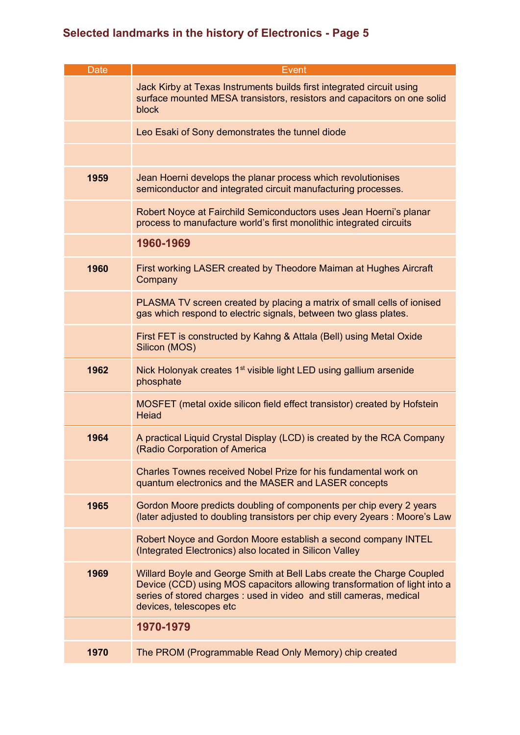| <b>Date</b> | <b>Event</b>                                                                                                                                                                                                                                         |
|-------------|------------------------------------------------------------------------------------------------------------------------------------------------------------------------------------------------------------------------------------------------------|
|             | Jack Kirby at Texas Instruments builds first integrated circuit using<br>surface mounted MESA transistors, resistors and capacitors on one solid<br>block                                                                                            |
|             | Leo Esaki of Sony demonstrates the tunnel diode                                                                                                                                                                                                      |
|             |                                                                                                                                                                                                                                                      |
| 1959        | Jean Hoerni develops the planar process which revolutionises<br>semiconductor and integrated circuit manufacturing processes.                                                                                                                        |
|             | Robert Noyce at Fairchild Semiconductors uses Jean Hoerni's planar<br>process to manufacture world's first monolithic integrated circuits                                                                                                            |
|             | 1960-1969                                                                                                                                                                                                                                            |
| 1960        | First working LASER created by Theodore Maiman at Hughes Aircraft<br>Company                                                                                                                                                                         |
|             | PLASMA TV screen created by placing a matrix of small cells of ionised<br>gas which respond to electric signals, between two glass plates.                                                                                                           |
|             | First FET is constructed by Kahng & Attala (Bell) using Metal Oxide<br>Silicon (MOS)                                                                                                                                                                 |
| 1962        | Nick Holonyak creates 1 <sup>st</sup> visible light LED using gallium arsenide<br>phosphate                                                                                                                                                          |
|             | MOSFET (metal oxide silicon field effect transistor) created by Hofstein<br><b>Heiad</b>                                                                                                                                                             |
| 1964        | A practical Liquid Crystal Display (LCD) is created by the RCA Company<br>(Radio Corporation of America                                                                                                                                              |
|             | Charles Townes received Nobel Prize for his fundamental work on<br>quantum electronics and the MASER and LASER concepts                                                                                                                              |
| 1965        | Gordon Moore predicts doubling of components per chip every 2 years<br>(later adjusted to doubling transistors per chip every 2years : Moore's Law                                                                                                   |
|             | Robert Noyce and Gordon Moore establish a second company INTEL<br>(Integrated Electronics) also located in Silicon Valley                                                                                                                            |
| 1969        | Willard Boyle and George Smith at Bell Labs create the Charge Coupled<br>Device (CCD) using MOS capacitors allowing transformation of light into a<br>series of stored charges : used in video and still cameras, medical<br>devices, telescopes etc |
|             | 1970-1979                                                                                                                                                                                                                                            |
| 1970        | The PROM (Programmable Read Only Memory) chip created                                                                                                                                                                                                |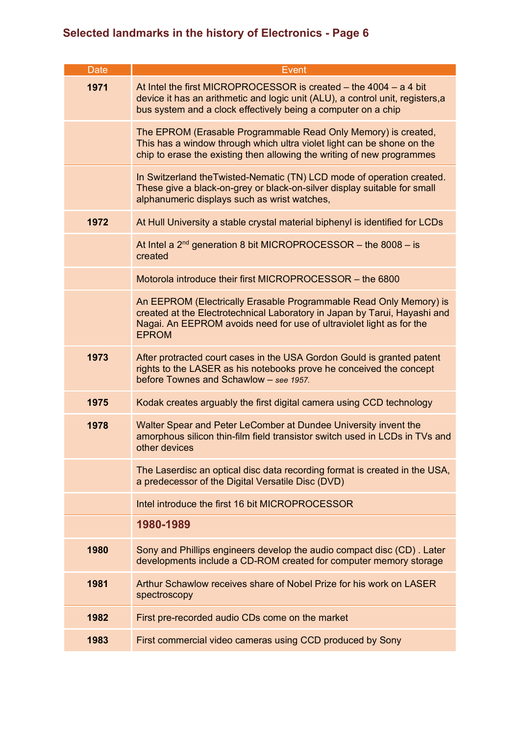| <b>Date</b> | Event                                                                                                                                                                                                                                   |
|-------------|-----------------------------------------------------------------------------------------------------------------------------------------------------------------------------------------------------------------------------------------|
| 1971        | At Intel the first MICROPROCESSOR is created $-$ the 4004 $-$ a 4 bit<br>device it has an arithmetic and logic unit (ALU), a control unit, registers, a<br>bus system and a clock effectively being a computer on a chip                |
|             | The EPROM (Erasable Programmable Read Only Memory) is created,<br>This has a window through which ultra violet light can be shone on the<br>chip to erase the existing then allowing the writing of new programmes                      |
|             | In Switzerland the Twisted-Nematic (TN) LCD mode of operation created.<br>These give a black-on-grey or black-on-silver display suitable for small<br>alphanumeric displays such as wrist watches,                                      |
| 1972        | At Hull University a stable crystal material biphenyl is identified for LCDs                                                                                                                                                            |
|             | At Intel a $2^{nd}$ generation 8 bit MICROPROCESSOR – the 8008 – is<br>created                                                                                                                                                          |
|             | Motorola introduce their first MICROPROCESSOR - the 6800                                                                                                                                                                                |
|             | An EEPROM (Electrically Erasable Programmable Read Only Memory) is<br>created at the Electrotechnical Laboratory in Japan by Tarui, Hayashi and<br>Nagai. An EEPROM avoids need for use of ultraviolet light as for the<br><b>EPROM</b> |
| 1973        | After protracted court cases in the USA Gordon Gould is granted patent<br>rights to the LASER as his notebooks prove he conceived the concept<br>before Townes and Schawlow - see 1957.                                                 |
| 1975        | Kodak creates arguably the first digital camera using CCD technology                                                                                                                                                                    |
| 1978        | Walter Spear and Peter LeComber at Dundee University invent the<br>amorphous silicon thin-film field transistor switch used in LCDs in TVs and<br>other devices                                                                         |
|             | The Laserdisc an optical disc data recording format is created in the USA,<br>a predecessor of the Digital Versatile Disc (DVD)                                                                                                         |
|             | Intel introduce the first 16 bit MICROPROCESSOR                                                                                                                                                                                         |
|             | 1980-1989                                                                                                                                                                                                                               |
| 1980        | Sony and Phillips engineers develop the audio compact disc (CD). Later<br>developments include a CD-ROM created for computer memory storage                                                                                             |
| 1981        | Arthur Schawlow receives share of Nobel Prize for his work on LASER<br>spectroscopy                                                                                                                                                     |
| 1982        | First pre-recorded audio CDs come on the market                                                                                                                                                                                         |
| 1983        | First commercial video cameras using CCD produced by Sony                                                                                                                                                                               |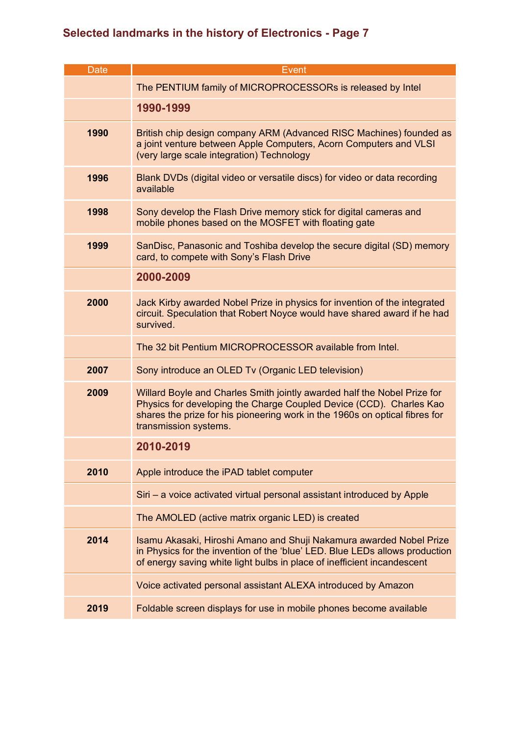| <b>Date</b> | Event                                                                                                                                                                                                                                                   |
|-------------|---------------------------------------------------------------------------------------------------------------------------------------------------------------------------------------------------------------------------------------------------------|
|             | The PENTIUM family of MICROPROCESSORs is released by Intel                                                                                                                                                                                              |
|             | 1990-1999                                                                                                                                                                                                                                               |
| 1990        | British chip design company ARM (Advanced RISC Machines) founded as<br>a joint venture between Apple Computers, Acorn Computers and VLSI<br>(very large scale integration) Technology                                                                   |
| 1996        | Blank DVDs (digital video or versatile discs) for video or data recording<br>available                                                                                                                                                                  |
| 1998        | Sony develop the Flash Drive memory stick for digital cameras and<br>mobile phones based on the MOSFET with floating gate                                                                                                                               |
| 1999        | SanDisc, Panasonic and Toshiba develop the secure digital (SD) memory<br>card, to compete with Sony's Flash Drive                                                                                                                                       |
|             | 2000-2009                                                                                                                                                                                                                                               |
| 2000        | Jack Kirby awarded Nobel Prize in physics for invention of the integrated<br>circuit. Speculation that Robert Noyce would have shared award if he had<br>survived.                                                                                      |
|             | The 32 bit Pentium MICROPROCESSOR available from Intel.                                                                                                                                                                                                 |
| 2007        | Sony introduce an OLED Tv (Organic LED television)                                                                                                                                                                                                      |
| 2009        | Willard Boyle and Charles Smith jointly awarded half the Nobel Prize for<br>Physics for developing the Charge Coupled Device (CCD). Charles Kao<br>shares the prize for his pioneering work in the 1960s on optical fibres for<br>transmission systems. |
|             | 2010-2019                                                                                                                                                                                                                                               |
| 2010        | Apple introduce the iPAD tablet computer                                                                                                                                                                                                                |
|             | Siri - a voice activated virtual personal assistant introduced by Apple                                                                                                                                                                                 |
|             | The AMOLED (active matrix organic LED) is created                                                                                                                                                                                                       |
| 2014        | Isamu Akasaki, Hiroshi Amano and Shuji Nakamura awarded Nobel Prize<br>in Physics for the invention of the 'blue' LED. Blue LEDs allows production<br>of energy saving white light bulbs in place of inefficient incandescent                           |
|             | Voice activated personal assistant ALEXA introduced by Amazon                                                                                                                                                                                           |
| 2019        | Foldable screen displays for use in mobile phones become available                                                                                                                                                                                      |